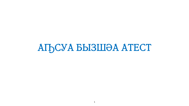# АҦСУА БЫЗШӘА АТЕСТ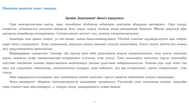## Ароман "Ацынтэарах" акынтэ ацыҧтәаха

Сара инасышьтахханы ааигәа, хара, иахьабалак акәкәахәа еибашьрак алагазшәа абџьарқәа ааиларцеит. Сара сеигуш егьыртгьы, игэыткьагаха ашьхақәа иреафуан Бзоу еигуш зыгусы зхытуаз аеқәа рыкьыркьыр быжьқәа. Икалап рагухьаза абра акәзаргы агәымбылра сахьазрыжәыз. Снапала анышә иастеит сеы, ахангы хахәыкнасыргылеит.

Ацхацэры зхыз ароаш снырит, уи цон ишцац, хьаада-баада,ишэахп,сараха. Убаскак итынчын ап,сабара,адунеи аеы гэакрак џьара икоуп узхәарымызт. Ахәы санысхашла, иаразнак слымха иаатасит ахәухәа ацәыуабжьы. Хәсеи хацәеи ахабла зегь еизаны дасу рыгусыжыртақәа ирықәлахьан.

Иаарықәқәаны сеынасхеит. Снеизар, саб дзышза иани иаби рхатгәынқәа рақхьа дшьамхнышланы, игәы дтасуа атаыуара да<del>с</del>ын, сашьагьы ихәра ашьамхнышлара илнаршомыз, усдгылан, игәы дтасуа. Сани сахәшьцәеи, дышхәчыз иҧсыз сашьеицбы ихатгәын хәычыагәы иқәиааз ақыцә-мыцәқәа ықәкәшәаауа, рыхцәы ҧыртланы еибарқьызқьызуан. Атаацәа реы сара ахаҳә гәы змоу хәа сыҧхьазан, шамахамзар, саныхәычызгьы сылаҕырз уаҩы имбацызт, аха ара исзымычҳаит, саргьы снарыдгылеит, сгәы стасуа.

Абас лықырзышала ргәырданы, дасу рысныкақәа рышка ихынхәит, ирызго рыматәа аашьтыхны, ага ахь идәықәларц.

Зегьы иаадыруеит, абыржәы қоагылар,наунагза қахьымаара қашдәықәло. Ушьтахька уақа хынқәышьа анумам, уаҧхьака умоа узқәыло цқьа ианузымдыруа, о, злыпдха хаура, дышпдарыцхахо ауаоы мыжда!

 $\overline{2}$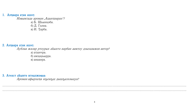#### 1. Азцаара атак ашәт:

Изоымтада ароман "Ацынцәарах"? а) Б. Шьынқәба. б) Д. Гәлиа. в) И. Тарба.

## 2. Аздаара атак ашәт:

Аублаа жәлар ртоурых акынтә иарбан аамтоу дзыхцәажәо автор?

- а) атынчра.
- б) амхаџьырра.
- в) аиааира.

#### 3. Атекст акынтә игәылжәсаа:

Ароман афырхаца иҧеиҧш дышҧазхәыцуа?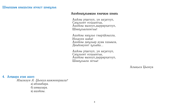## Шәыхшыс азышьтны атеқст шәаҧхьа:

#### Ашәкәыҧхьаоцәа хәычқәа шәахь

Ашкәы ртагоуп, уи аазагоуп, Саҧхьоит есқьынгьы, Ашәкәы сызоуп, дыррархагоуп, Шәаҧхьалазегьы!

Ашәкәы иаҧхьо гәырцкәылла, Изхауеи шака! Ашәкәы даҧхьар ауао хшыола, Дныкәауеит ҧхьака...

Ашкәы ртагоуп, уи аазагоуп, Саҧхьойт есқьынгьы, Ашәкәы сызоуп, дыррархагоуп, Шәаҧхьала зегьы!

Алықьса Џьонуа

4. Азтаара атак ашәт:

Изызкәуи А. Џьонуа иажәеинраала? а) абзиабара. б) аи ызара. в) ашәкәы.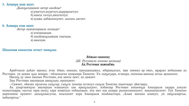### 5. Аздаара атак ашәт:

Дышҧахцәажәо автор ашәҟәы?

а) рцагоуп, аазагоуп, дыррархагоуп.

б) аамта гагоуп, амшгагоуп.

в) ауасы дабжьнахуеит, шьтахь дагоит.

#### 6. Аздаара атак ашәт:

Автор иажәеинраала иззикда?

а) атахмадацэа.

б) ашәкәыҧхьаоцәа хәычқәа.

в) асызцәа.

#### Шәыхшыс азышьтны атеқст шәапухьа:

#### Абжьас-цэазшәу

#### (Ш. Руставели ипоема аитахәа) Ах Ростеван иажәабжь

Арабтәыла дыкан иразыз, згәы тбааз, ииашаз, ирыцхашьасыз, ибарақьатыз, цоа змамыз ар змаз, иҕәҕәаз аибашьоы ах Ростеван, уи диман пуда зацэык - иблахкыгаз ахаеымра Тинатин. Уи лыпушзара, лгэыкра, лнеишьа-ааишьа зегьы аршанхон.

Насып, ду змаз иакәын Ростеван, аха аамта цеит, ах дажәит.

Зны Ростеван авазирцәа ааиҧхьан, иреиҳәеит:

- Сажәит, икалап ирласны сыпосыр, сыпосы танацы истахуп сыпуха Тинатин хәынтқарс дкасцарц.

Ах дзыргәамцуаз авазирцәа изаацәоуп қәа ирыҧхьазеит, избанзар Ростеван анкьеиҧш кәышрыла хадара азиуан ихәынтқарра, насгьы иара зыхьз хара инаохьаз еибашьоын, аха мап хәа ахәара рызиатәамшьеит, иақәшахатхеит. Урт Тинатин дырехәаны ирхәеит: дшыҧхәысугьы, илылшоит ахра кәышрыла иныкәылгарц. "Алым иахшаз алымуп, уи иап,сызаргьы, иабызаргьы."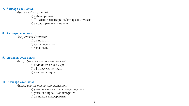#### 7. Азцаара атак ашәт:

Ари ажәабжь зызкуи?

а) аибашьра амч.

б) Тинатин хәынтқарс лыкацара шыртахыз.

в) ажәлар рынасып, иазкуп.

## 8. Аздаара атак ашәт:

Дызустадаз Ростеван?

а) ах иакәын.

б) дыпрезидентын.

в) двазирын.

## 9. Аздаара атак ашәт:

Автор Тинатин дышпуалыхцәажәо? а) иблахкыгаз ахаеымра. б) афырҧҳәыс леиҧш. в) ииашаз леиҧш.

## 10. Аздаара атак ашәт:

Авизирцәа ақ иажәа ишпазны кәеи?

а) уамашәа ирбеит, аха иақәшақатхеит.

б) уамашәа ирбан, мапацәыркит.

в) ах иажәа иақәерымтит.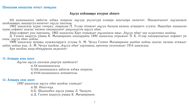## Аҧсуа шәкәыссра атоурых акнытә

XIX ашәышықәса аобатәи азбжа инаркны аҧсуаа ркультура есааира ашьтыцра иалагеит. Ишьақәгылеит аҧсышәала ашәкәыссра, иаадыртуа иалагеит аҧсуа школқәа.

1862 шықәсазы аурыс генерал, ацарауас П. Услар итижьит ап,суа бызшәа иазкны атцааратә усумта. Иараубри ашықәсан аурыс алфавит шьатас иатаны еиқәиршәеит раҧхьазатәи аҧсуа нбан.

Абри алфавит рхы иархәаны, 1865 шықәсазы Қарт итрыжьит апусышәала исыз "Апусуа нбан" хәа хьзысизмаз ашәкәы.

Д. Гәлиеи ақыртуа ртасы К. Мачавариани еицхырааны 1892 шықәсазы итрыжьит П. К. Услар еиқәиршәахьаз алфавит ре еины, аҧсуа нбан шәкәы.

1909 шықәсазы артасы, ауаажәларратә усзусы А. М. Чочуа Гәлиеи Мачавариани рынбан шәкәы шьатас иатаны итижьит анбан шәкәы еыц. А. М. Чочуа ишәкәы "Апусуа нбан" хартәааны, ирееины еитатижьит 1914 шықәсазы.

Ари ашәкәы акыр абиҧарақәа аазахьеит.

## 11. Аздаара атак ашәт:

Ап, сны ап, суа школқәа раартра ианбалага?

а) XX ашәышықәсазы.

б) XIX ашәышықәса аобатәи азбжа инаркны.

в) XVIII ашәышықәса анцәамтазы.

## 12. Аздаара атак ашәт:

1892 шықәсазы аҧсуа нбан ашәҟәы тзыжьда?

а) Ш. Инал-иҧа.

б) Б. Шьынқәбеи аҧсуа рцасы Л. Чкадуеи.

в) Д. Гәлиеи ақыртуа ртасы К. Мачавариани.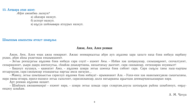#### 13. Аздаара атак ашәт:

Абри ажәабжь зызкуи?

- а) аказара иазкуп.
- б) аспорт иазкуп.
- в) аҧсуа шәкәыссра атоурых иазкуп.

Шәыхшыс азышьтны атеқст шәап хьа:

## Ажәи, Аеи, Алеи реимак

Ажәи, Аеи, Алеи енак ажәа еимаркит. Ажәас иеимаркызгьы абри ауп: аҧшәма ҳара ҳахьтә иаҳа бзиа иибауа иарбану рхәан, абри акны рхәатәқәа еиқәымшәеит.

– Зегьы реихазагьы аҧшәма бзиа иибауа сара соуп! – аҳәеит Аҽы. – Избан ҳәа шәҵаауазар, сизыцәаҕәоит, сизчалтуеит, сизырашәоит, џьара дцарц анитахугьы, скәакәа днықәртәаны, иахьитахыу дызгоит, сара сакәымзар, еитахәарак иоуамызт!

– Башоуп иухәауа, – еаанатит Ажә, – аҧшәма шәара зегьы шәеиха бзиа сибоит сара. Сара сыҧсы таны хыш-хырцәы игсырхауам, сара сакәымзар итаацәагьы иаргьы амла иагауан...

– Мамоу, зегьы шәыцкьысгьы сарасоуп агушәма бзиа иибауа! – ирыманакит Ала. – Уахи-ени ҳәа иааилымхʒакәа сықәгыланы, иара ионы-игәара, ирахә-ишәахә зегьы сыхьчоит, сарасакәымзар, шьта иагьарааны ақыычцәа деимыртәахьазаарын иара.

Арт реимак аҧшәма иаҳаит.

– Шәакәыц ажәааимакра! – ихәеит иара, – шәара зегьы шәыда сара схәартам,доусы шәтыҧқәа рыкны шәыбзиоуп, еиҕьуеицэоу шэыкам.

А. М. Чочуа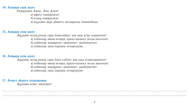#### **14. Аздаара атак ашәт:**

Еимаркәеи Ажәи, Аеи, Алеи?

а) афатә еимаркәеит.

б) атыҧ еимаркәеит.

в) апушәма дара ркынтә зегьыреиха бзиаиибода.

## **15. Аздаара атак ашәт:**

Ап, шәма зегьы реиха сара бзиасибоит хәа аеы агәы изаанагеи?

а) избанзар и мны-игәара, ирахә-ишәахә зегьы иахьчоит.

- б) избанзар ицәақәоит, ирашәоит, дны кәнагоит.
- в) избанзар хыш-хырцәы игнархауам.

## **16. Аздаара атак ашәт:**

Ап, шәма зегьы реиха сара бзиа сибоит хәа ажә агәыизаанагеи?

а) избанзар и ны-игәара, ирахә-ишәахә зегьы иахьчоит.

б) избанзар ицәақәоит, ирашәоит, дныкәнагоит.

в) избанзар хыш-хырцәы игнархауам.

## **17.** Атекст акынтә игәылжә аз:

Ап, шәма атакс икаитеи?

.................................................................................................................................................................................................................

.................................................................................................................................................................................................................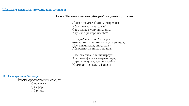## Акаки Церетели ипоема "Абаззеи", еитеигеит Д. Гәлиа

"Сафар уоума? Ухацкы сыҧсааит Убзыцэашьа, иузгэакэа! Сасыблақәа уаиуеиқьаршьо Адунеи аеы дарбанирбо?"

Игәыдибакылт, еибагәызит Оыџьа аишьцәа иеиқәлацәоу реиҧш, Нас дны малан, диреыхеит Абырфынлых иҧхәысшаша.

"Нас, амарџьа, бааццакыроуп, Асас изы фытәык бырхиароуп, Харатә даауеит, даапса дыкоуп, Икамлари чабьакимфацзар!"

## 18. Аздаара атак кашәда:

Апоема афырхаца, асас ихьзуи? а) Алмасхит.

 $(6)$  Ca $q$ ap.

в) Гәдиса.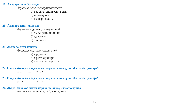## 19. Аздаара атак кашәта:

Аҧшәма асас дышҧаидикылеи?

а) даараза диеигәырқьеит.

- б) ицәымқхеит.
- в) и ехыршәааны.

## **20. Аздаара атак кашәда:**

Аҧшәма иҧҳәыс дзеиҧшрази?

а) дыгынзан, дшашан.

б) деаастан.

в) длашәын.

## **21. Аздаара атак кашеда:**

Ап,шәма ип, хәыс илыдицеи?

- a)  $a$  $3$  $a$  $3$  $a$  $a$  $a$  $a$ .
- б) афатә архиара.

в) ауатах аилыргара.

#### 22. Иагу анбанқәа иадоыланы хаеыла ишәыпосах акатарба "анхара": сара ............. нхоит

#### 23. Иагу анбанқәа иадоыланы хаеыла ишәыпосах акатарба "анхара": vapa ............. нхоит

#### 24. Абарт ажәақәа шәхы иархәаны ақәоу еиқәшәыршәа: амашьына, ақытахь, саб, ала, дцоит.

.................................................................................................................................................................................................................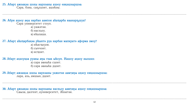25. Абарт ажәақәа шәхы иархәаны ақәоу еиқәшәыршәа:

Сара, бзиа, саҧхьоит, ашәкәы.

26. Абри ахәоу аеы иарбан аамтои акацарба иаанаргышуа?

Сара университет стоуп.

а) уажәтәи.

б) иасхьоу.

в) икалаша.

#### 27. Абарт акацарбақәа ркынтә руа иарбан мапкратә аформа змоу?

а) икасцазом.

б) сыччоит.

в) исцоит.

28. Абарт ахәоуқәа руакы аеы гхак ыкоуп. Иашоу ахәоу иалшәх:

а) сара асныка сцоит. б) сара асныка дцоит.

#### 29. Абарт ажәақәа шәхы иархәаны уажәтәи аамтаеы ақәоу еиқәшәыршәа: лара, ахь, амшын, дцоит.

30. Абарт ажәақәа шәхы иархәаны иасхьоу аамтаеы ахәоу еиқәшәыршәа: Соыза, далгеит, ауниверситет, Акэатәи.